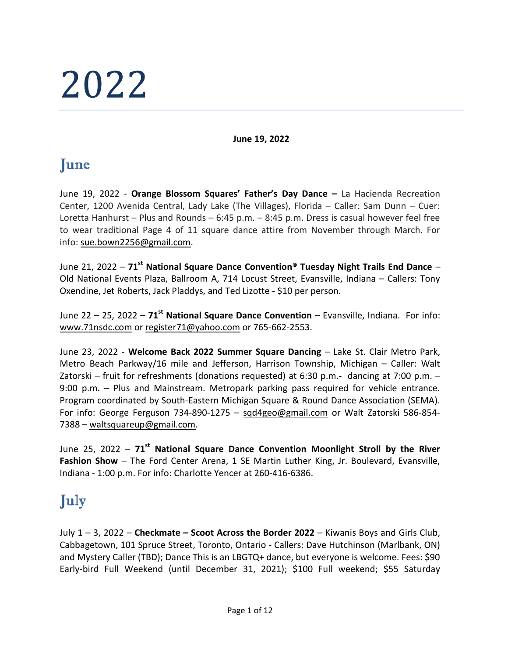# 2022

June 19, 2022

## June

June 19, 2022 - Orange Blossom Squares' Father's Day Dance - La Hacienda Recreation Center, 1200 Avenida Central, Lady Lake (The Villages), Florida – Caller: Sam Dunn – Cuer: Loretta Hanhurst – Plus and Rounds – 6:45 p.m. – 8:45 p.m. Dress is casual however feel free to wear traditional Page 4 of 11 square dance attire from November through March. For info: sue.bown2256@gmail.com.

June 21, 2022 –  $71^{\text{st}}$  National Square Dance Convention® Tuesday Night Trails End Dance – Old National Events Plaza, Ballroom A, 714 Locust Street, Evansville, Indiana – Callers: Tony Oxendine, Jet Roberts, Jack Pladdys, and Ted Lizotte - \$10 per person.

June 22 – 25, 2022 –  $71^{st}$  National Square Dance Convention – Evansville, Indiana. For info: www.71nsdc.com or register71@yahoo.com or 765-662-2553.

June 23, 2022 - Welcome Back 2022 Summer Square Dancing – Lake St. Clair Metro Park, Metro Beach Parkway/16 mile and Jefferson, Harrison Township, Michigan – Caller: Walt Zatorski – fruit for refreshments (donations requested) at 6:30 p.m.- dancing at 7:00 p.m. – 9:00 p.m. – Plus and Mainstream. Metropark parking pass required for vehicle entrance. Program coordinated by South-Eastern Michigan Square & Round Dance Association (SEMA). For info: George Ferguson 734-890-1275 – sqd4geo@gmail.com or Walt Zatorski 586-854- 7388 – waltsquareup@gmail.com.

June 25, 2022 -  $71<sup>st</sup>$  National Square Dance Convention Moonlight Stroll by the River Fashion Show - The Ford Center Arena, 1 SE Martin Luther King, Jr. Boulevard, Evansville, Indiana - 1:00 p.m. For info: Charlotte Yencer at 260-416-6386.

# July

July  $1 - 3$ , 2022 – Checkmate – Scoot Across the Border 2022 – Kiwanis Boys and Girls Club, Cabbagetown, 101 Spruce Street, Toronto, Ontario - Callers: Dave Hutchinson (Marlbank, ON) and Mystery Caller (TBD); Dance This is an LBGTQ+ dance, but everyone is welcome. Fees: \$90 Early-bird Full Weekend (until December 31, 2021); \$100 Full weekend; \$55 Saturday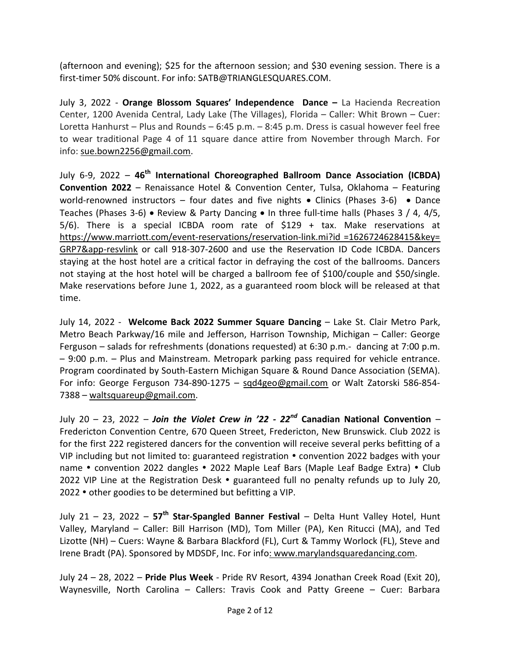(afternoon and evening); \$25 for the afternoon session; and \$30 evening session. There is a first-timer 50% discount. For info: SATB@TRIANGLESQUARES.COM.

July 3, 2022 - Orange Blossom Squares' Independence Dance – La Hacienda Recreation Center, 1200 Avenida Central, Lady Lake (The Villages), Florida – Caller: Whit Brown – Cuer: Loretta Hanhurst – Plus and Rounds – 6:45 p.m. – 8:45 p.m. Dress is casual however feel free to wear traditional Page 4 of 11 square dance attire from November through March. For info: sue.bown2256@gmail.com.

July 6-9, 2022 –  $46<sup>th</sup>$  International Choreographed Ballroom Dance Association (ICBDA) Convention 2022 – Renaissance Hotel & Convention Center, Tulsa, Oklahoma – Featuring world-renowned instructors – four dates and five nights  $\bullet$  Clinics (Phases 3-6)  $\bullet$  Dance Teaches (Phases 3-6) • Review & Party Dancing • In three full-time halls (Phases 3 / 4, 4/5, 5/6). There is a special ICBDA room rate of \$129 + tax. Make reservations at https://www.marriott.com/event-reservations/reservation-link.mi?id =1626724628415&key= GRP7&app-resvlink or call 918-307-2600 and use the Reservation ID Code ICBDA. Dancers staying at the host hotel are a critical factor in defraying the cost of the ballrooms. Dancers not staying at the host hotel will be charged a ballroom fee of \$100/couple and \$50/single. Make reservations before June 1, 2022, as a guaranteed room block will be released at that time.

July 14, 2022 - Welcome Back 2022 Summer Square Dancing – Lake St. Clair Metro Park, Metro Beach Parkway/16 mile and Jefferson, Harrison Township, Michigan – Caller: George Ferguson – salads for refreshments (donations requested) at 6:30 p.m.- dancing at 7:00 p.m. – 9:00 p.m. – Plus and Mainstream. Metropark parking pass required for vehicle entrance. Program coordinated by South-Eastern Michigan Square & Round Dance Association (SEMA). For info: George Ferguson 734-890-1275 - sad4geo@gmail.com or Walt Zatorski 586-854-7388 – waltsquareup@gmail.com.

July 20 – 23, 2022 – Join the Violet Crew in '22 - 22<sup>nd</sup> Canadian National Convention – Fredericton Convention Centre, 670 Queen Street, Fredericton, New Brunswick. Club 2022 is for the first 222 registered dancers for the convention will receive several perks befitting of a VIP including but not limited to: guaranteed registration • convention 2022 badges with your name • convention 2022 dangles • 2022 Maple Leaf Bars (Maple Leaf Badge Extra) • Club 2022 VIP Line at the Registration Desk  $\bullet$  guaranteed full no penalty refunds up to July 20, 2022 • other goodies to be determined but befitting a VIP.

July 21 – 23, 2022 –  $57<sup>th</sup>$  Star-Spangled Banner Festival – Delta Hunt Valley Hotel, Hunt Valley, Maryland – Caller: Bill Harrison (MD), Tom Miller (PA), Ken Ritucci (MA), and Ted Lizotte (NH) – Cuers: Wayne & Barbara Blackford (FL), Curt & Tammy Worlock (FL), Steve and Irene Bradt (PA). Sponsored by MDSDF, Inc. For info: www.marylandsquaredancing.com.

July 24 – 28, 2022 – Pride Plus Week - Pride RV Resort, 4394 Jonathan Creek Road (Exit 20), Waynesville, North Carolina – Callers: Travis Cook and Patty Greene – Cuer: Barbara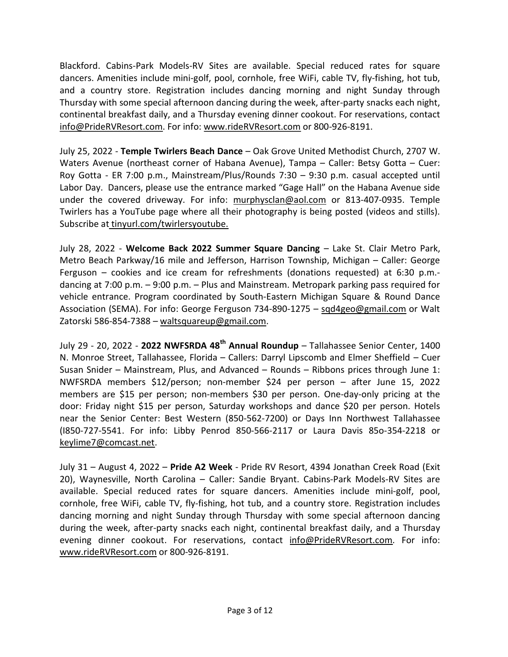Blackford. Cabins-Park Models-RV Sites are available. Special reduced rates for square dancers. Amenities include mini-golf, pool, cornhole, free WiFi, cable TV, fly-fishing, hot tub, and a country store. Registration includes dancing morning and night Sunday through Thursday with some special afternoon dancing during the week, after-party snacks each night, continental breakfast daily, and a Thursday evening dinner cookout. For reservations, contact info@PrideRVResort.com. For info: www.rideRVResort.com or 800-926-8191.

July 25, 2022 - Temple Twirlers Beach Dance – Oak Grove United Methodist Church, 2707 W. Waters Avenue (northeast corner of Habana Avenue), Tampa – Caller: Betsy Gotta – Cuer: Roy Gotta - ER 7:00 p.m., Mainstream/Plus/Rounds 7:30 – 9:30 p.m. casual accepted until Labor Day. Dancers, please use the entrance marked "Gage Hall" on the Habana Avenue side under the covered driveway. For info: murphysclan@aol.com or 813-407-0935. Temple Twirlers has a YouTube page where all their photography is being posted (videos and stills). Subscribe at tinyurl.com/twirlersyoutube.

July 28, 2022 - Welcome Back 2022 Summer Square Dancing – Lake St. Clair Metro Park, Metro Beach Parkway/16 mile and Jefferson, Harrison Township, Michigan – Caller: George Ferguson – cookies and ice cream for refreshments (donations requested) at 6:30 p.m. dancing at 7:00 p.m. – 9:00 p.m. – Plus and Mainstream. Metropark parking pass required for vehicle entrance. Program coordinated by South-Eastern Michigan Square & Round Dance Association (SEMA). For info: George Ferguson 734-890-1275 – sqd4geo@gmail.com or Walt Zatorski 586-854-7388 – waltsquareup@gmail.com.

July 29 - 20, 2022 - 2022 NWFSRDA 48<sup>th</sup> Annual Roundup - Tallahassee Senior Center, 1400 N. Monroe Street, Tallahassee, Florida – Callers: Darryl Lipscomb and Elmer Sheffield – Cuer Susan Snider – Mainstream, Plus, and Advanced – Rounds – Ribbons prices through June 1: NWFSRDA members \$12/person; non-member \$24 per person – after June 15, 2022 members are \$15 per person; non-members \$30 per person. One-day-only pricing at the door: Friday night \$15 per person, Saturday workshops and dance \$20 per person. Hotels near the Senior Center: Best Western (850-562-7200) or Days Inn Northwest Tallahassee (I850-727-5541. For info: Libby Penrod 850-566-2117 or Laura Davis 85o-354-2218 or keylime7@comcast.net.

July 31 – August 4, 2022 – Pride A2 Week - Pride RV Resort, 4394 Jonathan Creek Road (Exit 20), Waynesville, North Carolina – Caller: Sandie Bryant. Cabins-Park Models-RV Sites are available. Special reduced rates for square dancers. Amenities include mini-golf, pool, cornhole, free WiFi, cable TV, fly-fishing, hot tub, and a country store. Registration includes dancing morning and night Sunday through Thursday with some special afternoon dancing during the week, after-party snacks each night, continental breakfast daily, and a Thursday evening dinner cookout. For reservations, contact info@PrideRVResort.com. For info: www.rideRVResort.com or 800-926-8191.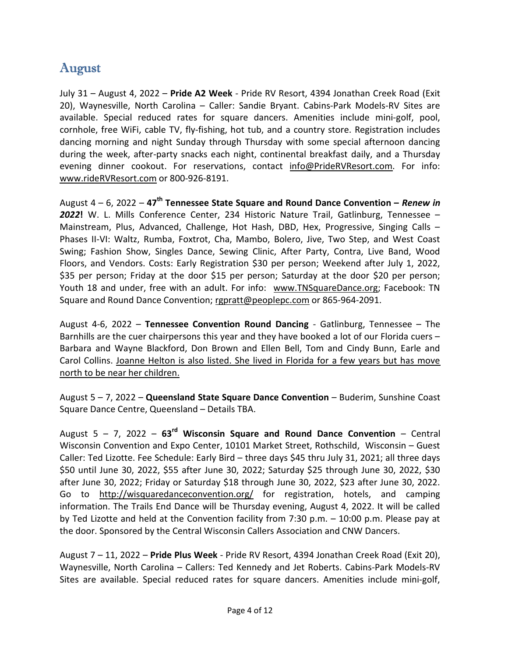#### August

July 31 – August 4, 2022 – Pride A2 Week - Pride RV Resort, 4394 Jonathan Creek Road (Exit 20), Waynesville, North Carolina – Caller: Sandie Bryant. Cabins-Park Models-RV Sites are available. Special reduced rates for square dancers. Amenities include mini-golf, pool, cornhole, free WiFi, cable TV, fly-fishing, hot tub, and a country store. Registration includes dancing morning and night Sunday through Thursday with some special afternoon dancing during the week, after-party snacks each night, continental breakfast daily, and a Thursday evening dinner cookout. For reservations, contact info@PrideRVResort.com. For info: www.rideRVResort.com or 800-926-8191.

August  $4 - 6$ , 2022 –  $47<sup>th</sup>$  Tennessee State Square and Round Dance Convention – Renew in 2022! W. L. Mills Conference Center, 234 Historic Nature Trail, Gatlinburg, Tennessee -Mainstream, Plus, Advanced, Challenge, Hot Hash, DBD, Hex, Progressive, Singing Calls – Phases II-VI: Waltz, Rumba, Foxtrot, Cha, Mambo, Bolero, Jive, Two Step, and West Coast Swing; Fashion Show, Singles Dance, Sewing Clinic, After Party, Contra, Live Band, Wood Floors, and Vendors. Costs: Early Registration \$30 per person; Weekend after July 1, 2022, \$35 per person; Friday at the door \$15 per person; Saturday at the door \$20 per person; Youth 18 and under, free with an adult. For info: www.TNSquareDance.org; Facebook: TN Square and Round Dance Convention; rgpratt@peoplepc.com or 865-964-2091.

August 4-6, 2022 – Tennessee Convention Round Dancing - Gatlinburg, Tennessee – The Barnhills are the cuer chairpersons this year and they have booked a lot of our Florida cuers – Barbara and Wayne Blackford, Don Brown and Ellen Bell, Tom and Cindy Bunn, Earle and Carol Collins. Joanne Helton is also listed. She lived in Florida for a few years but has move north to be near her children.

August 5 – 7, 2022 – Queensland State Square Dance Convention – Buderim, Sunshine Coast Square Dance Centre, Queensland – Details TBA.

August 5 – 7, 2022 –  $63^{rd}$  Wisconsin Square and Round Dance Convention – Central Wisconsin Convention and Expo Center, 10101 Market Street, Rothschild, Wisconsin – Guest Caller: Ted Lizotte. Fee Schedule: Early Bird – three days \$45 thru July 31, 2021; all three days \$50 until June 30, 2022, \$55 after June 30, 2022; Saturday \$25 through June 30, 2022, \$30 after June 30, 2022; Friday or Saturday \$18 through June 30, 2022, \$23 after June 30, 2022. Go to http://wisquaredanceconvention.org/ for registration, hotels, and camping information. The Trails End Dance will be Thursday evening, August 4, 2022. It will be called by Ted Lizotte and held at the Convention facility from 7:30 p.m. – 10:00 p.m. Please pay at the door. Sponsored by the Central Wisconsin Callers Association and CNW Dancers.

August 7 – 11, 2022 – Pride Plus Week - Pride RV Resort, 4394 Jonathan Creek Road (Exit 20), Waynesville, North Carolina – Callers: Ted Kennedy and Jet Roberts. Cabins-Park Models-RV Sites are available. Special reduced rates for square dancers. Amenities include mini-golf,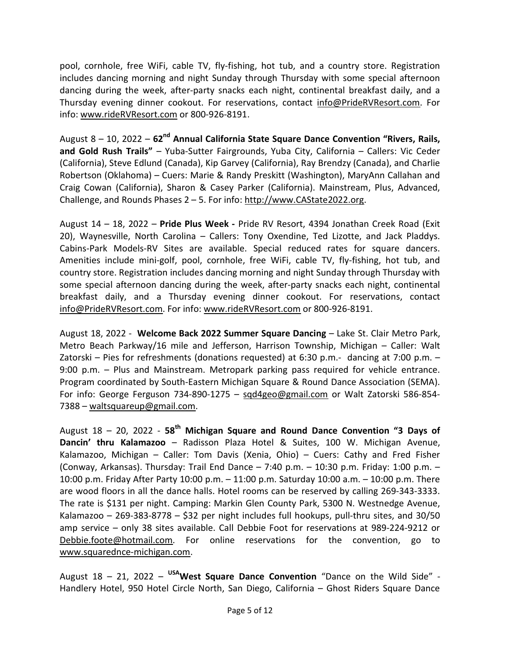pool, cornhole, free WiFi, cable TV, fly-fishing, hot tub, and a country store. Registration includes dancing morning and night Sunday through Thursday with some special afternoon dancing during the week, after-party snacks each night, continental breakfast daily, and a Thursday evening dinner cookout. For reservations, contact info@PrideRVResort.com. For info: www.rideRVResort.com or 800-926-8191.

August  $8 - 10$ , 2022 –  $62<sup>nd</sup>$  Annual California State Square Dance Convention "Rivers, Rails, and Gold Rush Trails" - Yuba-Sutter Fairgrounds, Yuba City, California - Callers: Vic Ceder (California), Steve Edlund (Canada), Kip Garvey (California), Ray Brendzy (Canada), and Charlie Robertson (Oklahoma) – Cuers: Marie & Randy Preskitt (Washington), MaryAnn Callahan and Craig Cowan (California), Sharon & Casey Parker (California). Mainstream, Plus, Advanced, Challenge, and Rounds Phases 2 – 5. For info: http://www.CAState2022.org.

August 14 – 18, 2022 – Pride Plus Week - Pride RV Resort, 4394 Jonathan Creek Road (Exit 20), Waynesville, North Carolina – Callers: Tony Oxendine, Ted Lizotte, and Jack Pladdys. Cabins-Park Models-RV Sites are available. Special reduced rates for square dancers. Amenities include mini-golf, pool, cornhole, free WiFi, cable TV, fly-fishing, hot tub, and country store. Registration includes dancing morning and night Sunday through Thursday with some special afternoon dancing during the week, after-party snacks each night, continental breakfast daily, and a Thursday evening dinner cookout. For reservations, contact info@PrideRVResort.com. For info: www.rideRVResort.com or 800-926-8191.

August 18, 2022 - Welcome Back 2022 Summer Square Dancing – Lake St. Clair Metro Park, Metro Beach Parkway/16 mile and Jefferson, Harrison Township, Michigan – Caller: Walt Zatorski – Pies for refreshments (donations requested) at 6:30 p.m.- dancing at 7:00 p.m. – 9:00 p.m. – Plus and Mainstream. Metropark parking pass required for vehicle entrance. Program coordinated by South-Eastern Michigan Square & Round Dance Association (SEMA). For info: George Ferguson 734-890-1275 - sqd4geo@gmail.com or Walt Zatorski 586-854-7388 – waltsquareup@gmail.com.

August  $18 - 20$ , 2022 - 58<sup>th</sup> Michigan Square and Round Dance Convention "3 Days of Dancin' thru Kalamazoo – Radisson Plaza Hotel & Suites, 100 W. Michigan Avenue, Kalamazoo, Michigan – Caller: Tom Davis (Xenia, Ohio) – Cuers: Cathy and Fred Fisher (Conway, Arkansas). Thursday: Trail End Dance  $-7:40$  p.m.  $-10:30$  p.m. Friday: 1:00 p.m.  $-$ 10:00 p.m. Friday After Party 10:00 p.m. – 11:00 p.m. Saturday 10:00 a.m. – 10:00 p.m. There are wood floors in all the dance halls. Hotel rooms can be reserved by calling 269-343-3333. The rate is \$131 per night. Camping: Markin Glen County Park, 5300 N. Westnedge Avenue, Kalamazoo – 269-383-8778 – \$32 per night includes full hookups, pull-thru sites, and 30/50 amp service – only 38 sites available. Call Debbie Foot for reservations at 989-224-9212 or Debbie.foote@hotmail.com. For online reservations for the convention, go to www.squarednce-michigan.com.

August  $18 - 21$ , 2022 – <sup>USA</sup>West Square Dance Convention "Dance on the Wild Side" -Handlery Hotel, 950 Hotel Circle North, San Diego, California – Ghost Riders Square Dance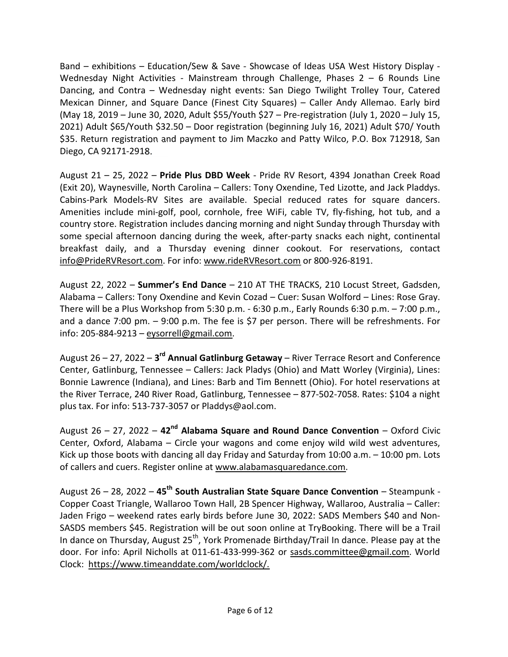Band – exhibitions – Education/Sew & Save - Showcase of Ideas USA West History Display - Wednesday Night Activities - Mainstream through Challenge, Phases  $2 - 6$  Rounds Line Dancing, and Contra – Wednesday night events: San Diego Twilight Trolley Tour, Catered Mexican Dinner, and Square Dance (Finest City Squares) – Caller Andy Allemao. Early bird (May 18, 2019 – June 30, 2020, Adult \$55/Youth \$27 – Pre-registration (July 1, 2020 – July 15, 2021) Adult \$65/Youth \$32.50 – Door registration (beginning July 16, 2021) Adult \$70/ Youth \$35. Return registration and payment to Jim Maczko and Patty Wilco, P.O. Box 712918, San Diego, CA 92171-2918.

August 21 – 25, 2022 – Pride Plus DBD Week - Pride RV Resort, 4394 Jonathan Creek Road (Exit 20), Waynesville, North Carolina – Callers: Tony Oxendine, Ted Lizotte, and Jack Pladdys. Cabins-Park Models-RV Sites are available. Special reduced rates for square dancers. Amenities include mini-golf, pool, cornhole, free WiFi, cable TV, fly-fishing, hot tub, and a country store. Registration includes dancing morning and night Sunday through Thursday with some special afternoon dancing during the week, after-party snacks each night, continental breakfast daily, and a Thursday evening dinner cookout. For reservations, contact info@PrideRVResort.com. For info: www.rideRVResort.com or 800-926-8191.

August 22, 2022 – Summer's End Dance – 210 AT THE TRACKS, 210 Locust Street, Gadsden, Alabama – Callers: Tony Oxendine and Kevin Cozad – Cuer: Susan Wolford – Lines: Rose Gray. There will be a Plus Workshop from 5:30 p.m. - 6:30 p.m., Early Rounds 6:30 p.m. – 7:00 p.m., and a dance 7:00 pm. – 9:00 p.m. The fee is \$7 per person. There will be refreshments. For info: 205-884-9213 – eysorrell@gmail.com.

August 26 – 27, 2022 – 3<sup>rd</sup> Annual Gatlinburg Getaway – River Terrace Resort and Conference Center, Gatlinburg, Tennessee – Callers: Jack Pladys (Ohio) and Matt Worley (Virginia), Lines: Bonnie Lawrence (Indiana), and Lines: Barb and Tim Bennett (Ohio). For hotel reservations at the River Terrace, 240 River Road, Gatlinburg, Tennessee – 877-502-7058. Rates: \$104 a night plus tax. For info: 513-737-3057 or Pladdys@aol.com.

August 26 – 27, 2022 –  $42<sup>nd</sup>$  Alabama Square and Round Dance Convention – Oxford Civic Center, Oxford, Alabama – Circle your wagons and come enjoy wild wild west adventures, Kick up those boots with dancing all day Friday and Saturday from  $10:00$  a.m.  $-10:00$  pm. Lots of callers and cuers. Register online at www.alabamasquaredance.com.

August 26 – 28, 2022 – 45<sup>th</sup> South Australian State Square Dance Convention – Steampunk -Copper Coast Triangle, Wallaroo Town Hall, 2B Spencer Highway, Wallaroo, Australia – Caller: Jaden Frigo – weekend rates early birds before June 30, 2022: SADS Members \$40 and Non-SASDS members \$45. Registration will be out soon online at TryBooking. There will be a Trail In dance on Thursday, August  $25<sup>th</sup>$ , York Promenade Birthday/Trail In dance. Please pay at the door. For info: April Nicholls at 011-61-433-999-362 or sasds.committee@gmail.com. World Clock: https://www.timeanddate.com/worldclock/.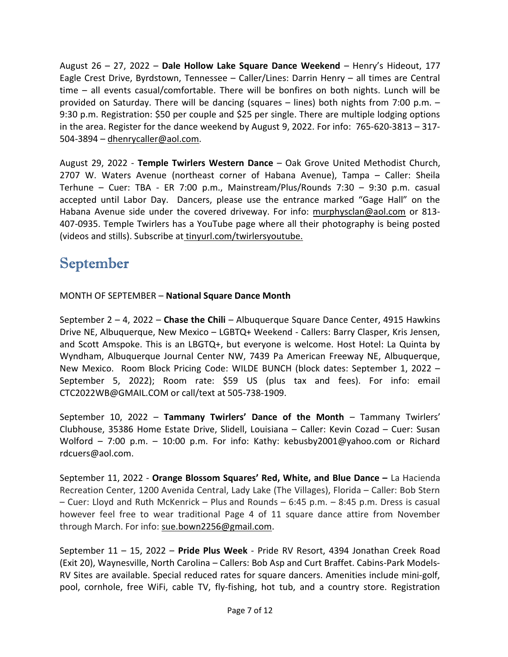August  $26 - 27$ , 2022 – Dale Hollow Lake Square Dance Weekend – Henry's Hideout, 177 Eagle Crest Drive, Byrdstown, Tennessee – Caller/Lines: Darrin Henry – all times are Central time – all events casual/comfortable. There will be bonfires on both nights. Lunch will be provided on Saturday. There will be dancing (squares – lines) both nights from 7:00 p.m. – 9:30 p.m. Registration: \$50 per couple and \$25 per single. There are multiple lodging options in the area. Register for the dance weekend by August 9, 2022. For info: 765-620-3813 – 317- 504-3894 – dhenrycaller@aol.com.

August 29, 2022 - Temple Twirlers Western Dance – Oak Grove United Methodist Church, 2707 W. Waters Avenue (northeast corner of Habana Avenue), Tampa – Caller: Sheila Terhune – Cuer: TBA - ER 7:00 p.m., Mainstream/Plus/Rounds 7:30 – 9:30 p.m. casual accepted until Labor Day. Dancers, please use the entrance marked "Gage Hall" on the Habana Avenue side under the covered driveway. For info: murphysclan@aol.com or 813- 407-0935. Temple Twirlers has a YouTube page where all their photography is being posted (videos and stills). Subscribe at tinyurl.com/twirlersyoutube.

## September

MONTH OF SEPTEMBER – National Square Dance Month

September  $2 - 4$ , 2022 – Chase the Chili – Albuquerque Square Dance Center, 4915 Hawkins Drive NE, Albuquerque, New Mexico – LGBTQ+ Weekend - Callers: Barry Clasper, Kris Jensen, and Scott Amspoke. This is an LBGTQ+, but everyone is welcome. Host Hotel: La Quinta by Wyndham, Albuquerque Journal Center NW, 7439 Pa American Freeway NE, Albuquerque, New Mexico. Room Block Pricing Code: WILDE BUNCH (block dates: September 1, 2022 – September 5, 2022); Room rate: \$59 US (plus tax and fees). For info: email CTC2022WB@GMAIL.COM or call/text at 505-738-1909.

September 10, 2022 – Tammany Twirlers' Dance of the Month – Tammany Twirlers' Clubhouse, 35386 Home Estate Drive, Slidell, Louisiana – Caller: Kevin Cozad – Cuer: Susan Wolford – 7:00 p.m. – 10:00 p.m. For info: Kathy: kebusby2001@yahoo.com or Richard rdcuers@aol.com.

September 11, 2022 - Orange Blossom Squares' Red, White, and Blue Dance – La Hacienda Recreation Center, 1200 Avenida Central, Lady Lake (The Villages), Florida – Caller: Bob Stern – Cuer: Lloyd and Ruth McKenrick – Plus and Rounds – 6:45 p.m. – 8:45 p.m. Dress is casual however feel free to wear traditional Page 4 of 11 square dance attire from November through March. For info: sue.bown2256@gmail.com.

September 11 – 15, 2022 – Pride Plus Week - Pride RV Resort, 4394 Jonathan Creek Road (Exit 20), Waynesville, North Carolina – Callers: Bob Asp and Curt Braffet. Cabins-Park Models-RV Sites are available. Special reduced rates for square dancers. Amenities include mini-golf, pool, cornhole, free WiFi, cable TV, fly-fishing, hot tub, and a country store. Registration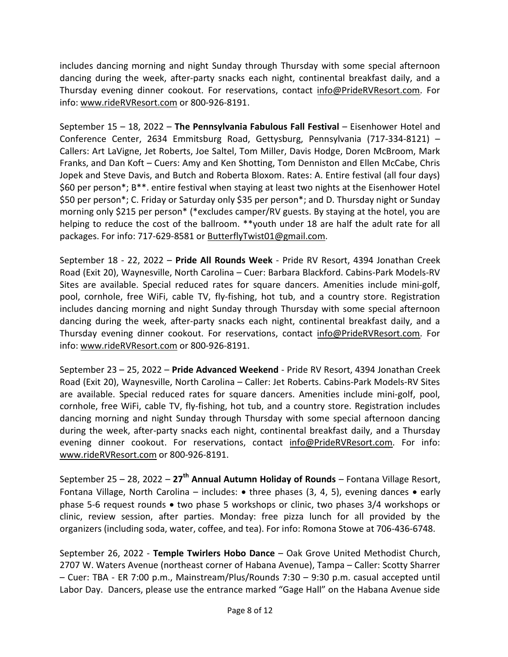includes dancing morning and night Sunday through Thursday with some special afternoon dancing during the week, after-party snacks each night, continental breakfast daily, and a Thursday evening dinner cookout. For reservations, contact info@PrideRVResort.com. For info: www.rideRVResort.com or 800-926-8191.

September 15 – 18, 2022 – The Pennsylvania Fabulous Fall Festival – Eisenhower Hotel and Conference Center, 2634 Emmitsburg Road, Gettysburg, Pennsylvania (717-334-8121) – Callers: Art LaVigne, Jet Roberts, Joe Saltel, Tom Miller, Davis Hodge, Doren McBroom, Mark Franks, and Dan Koft – Cuers: Amy and Ken Shotting, Tom Denniston and Ellen McCabe, Chris Jopek and Steve Davis, and Butch and Roberta Bloxom. Rates: A. Entire festival (all four days) \$60 per person\*; B\*\*. entire festival when staying at least two nights at the Eisenhower Hotel \$50 per person\*; C. Friday or Saturday only \$35 per person\*; and D. Thursday night or Sunday morning only \$215 per person\* (\*excludes camper/RV guests. By staying at the hotel, you are helping to reduce the cost of the ballroom. \*\*youth under 18 are half the adult rate for all packages. For info: 717-629-8581 or ButterflyTwist01@gmail.com.

September 18 - 22, 2022 – Pride All Rounds Week - Pride RV Resort, 4394 Jonathan Creek Road (Exit 20), Waynesville, North Carolina – Cuer: Barbara Blackford. Cabins-Park Models-RV Sites are available. Special reduced rates for square dancers. Amenities include mini-golf, pool, cornhole, free WiFi, cable TV, fly-fishing, hot tub, and a country store. Registration includes dancing morning and night Sunday through Thursday with some special afternoon dancing during the week, after-party snacks each night, continental breakfast daily, and a Thursday evening dinner cookout. For reservations, contact info@PrideRVResort.com. For info: www.rideRVResort.com or 800-926-8191.

September 23 – 25, 2022 – Pride Advanced Weekend - Pride RV Resort, 4394 Jonathan Creek Road (Exit 20), Waynesville, North Carolina – Caller: Jet Roberts. Cabins-Park Models-RV Sites are available. Special reduced rates for square dancers. Amenities include mini-golf, pool, cornhole, free WiFi, cable TV, fly-fishing, hot tub, and a country store. Registration includes dancing morning and night Sunday through Thursday with some special afternoon dancing during the week, after-party snacks each night, continental breakfast daily, and a Thursday evening dinner cookout. For reservations, contact info@PrideRVResort.com. For info: www.rideRVResort.com or 800-926-8191.

September 25 – 28, 2022 –  $27<sup>th</sup>$  Annual Autumn Holiday of Rounds – Fontana Village Resort, Fontana Village, North Carolina – includes:  $\bullet$  three phases (3, 4, 5), evening dances  $\bullet$  early phase 5-6 request rounds  $\bullet$  two phase 5 workshops or clinic, two phases 3/4 workshops or clinic, review session, after parties. Monday: free pizza lunch for all provided by the organizers (including soda, water, coffee, and tea). For info: Romona Stowe at 706-436-6748.

September 26, 2022 - Temple Twirlers Hobo Dance – Oak Grove United Methodist Church, 2707 W. Waters Avenue (northeast corner of Habana Avenue), Tampa – Caller: Scotty Sharrer – Cuer: TBA - ER 7:00 p.m., Mainstream/Plus/Rounds 7:30 – 9:30 p.m. casual accepted until Labor Day. Dancers, please use the entrance marked "Gage Hall" on the Habana Avenue side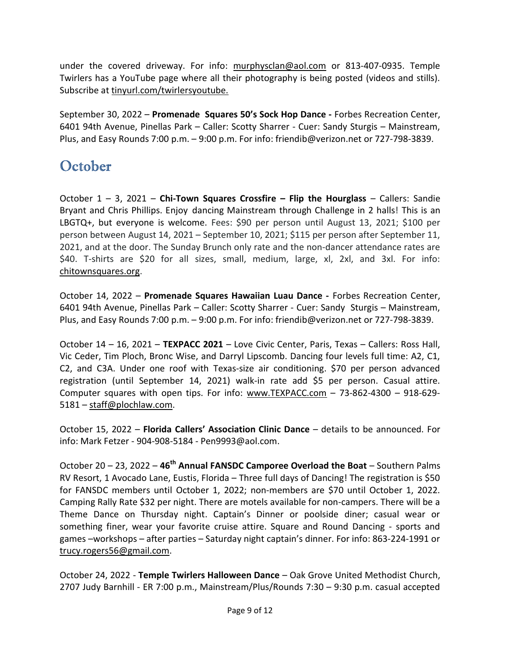under the covered driveway. For info: murphysclan@aol.com or 813-407-0935. Temple Twirlers has a YouTube page where all their photography is being posted (videos and stills). Subscribe at tinyurl.com/twirlersyoutube.

September 30, 2022 – Promenade Squares 50's Sock Hop Dance - Forbes Recreation Center, 6401 94th Avenue, Pinellas Park – Caller: Scotty Sharrer - Cuer: Sandy Sturgis – Mainstream, Plus, and Easy Rounds 7:00 p.m. – 9:00 p.m. For info: friendib@verizon.net or 727-798-3839.

### **October**

October  $1 - 3$ , 2021 – Chi-Town Squares Crossfire – Flip the Hourglass – Callers: Sandie Bryant and Chris Phillips. Enjoy dancing Mainstream through Challenge in 2 halls! This is an LBGTQ+, but everyone is welcome. Fees: \$90 per person until August 13, 2021; \$100 per person between August 14, 2021 – September 10, 2021; \$115 per person after September 11, 2021, and at the door. The Sunday Brunch only rate and the non-dancer attendance rates are \$40. T-shirts are \$20 for all sizes, small, medium, large, xl, 2xl, and 3xl. For info: chitownsquares.org.

October 14, 2022 – Promenade Squares Hawaiian Luau Dance - Forbes Recreation Center, 6401 94th Avenue, Pinellas Park – Caller: Scotty Sharrer - Cuer: Sandy Sturgis – Mainstream, Plus, and Easy Rounds 7:00 p.m. – 9:00 p.m. For info: friendib@verizon.net or 727-798-3839.

October 14 - 16, 2021 - TEXPACC 2021 - Love Civic Center, Paris, Texas - Callers: Ross Hall, Vic Ceder, Tim Ploch, Bronc Wise, and Darryl Lipscomb. Dancing four levels full time: A2, C1, C2, and C3A. Under one roof with Texas-size air conditioning. \$70 per person advanced registration (until September 14, 2021) walk-in rate add \$5 per person. Casual attire. Computer squares with open tips. For info: www.TEXPACC.com – 73-862-4300 – 918-629- 5181 – staff@plochlaw.com.

October 15, 2022 – Florida Callers' Association Clinic Dance – details to be announced. For info: Mark Fetzer - 904-908-5184 - Pen9993@aol.com.

October 20 – 23, 2022 – 46<sup>th</sup> Annual FANSDC Camporee Overload the Boat – Southern Palms RV Resort, 1 Avocado Lane, Eustis, Florida – Three full days of Dancing! The registration is \$50 for FANSDC members until October 1, 2022; non-members are \$70 until October 1, 2022. Camping Rally Rate \$32 per night. There are motels available for non-campers. There will be a Theme Dance on Thursday night. Captain's Dinner or poolside diner; casual wear or something finer, wear your favorite cruise attire. Square and Round Dancing - sports and games –workshops – after parties – Saturday night captain's dinner. For info: 863-224-1991 or trucy.rogers56@gmail.com.

October 24, 2022 - Temple Twirlers Halloween Dance – Oak Grove United Methodist Church, 2707 Judy Barnhill - ER 7:00 p.m., Mainstream/Plus/Rounds 7:30 – 9:30 p.m. casual accepted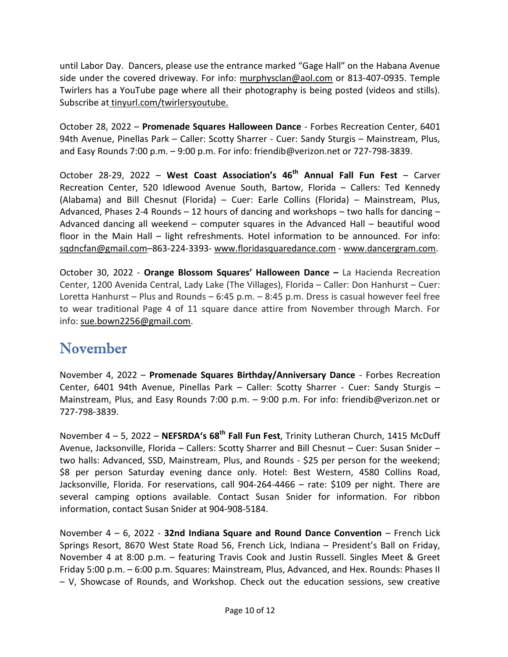until Labor Day. Dancers, please use the entrance marked "Gage Hall" on the Habana Avenue side under the covered driveway. For info: murphysclan@aol.com or 813-407-0935. Temple Twirlers has a YouTube page where all their photography is being posted (videos and stills). Subscribe at tinyurl.com/twirlersyoutube.

October 28, 2022 – Promenade Squares Halloween Dance - Forbes Recreation Center, 6401 94th Avenue, Pinellas Park – Caller: Scotty Sharrer - Cuer: Sandy Sturgis – Mainstream, Plus, and Easy Rounds 7:00 p.m. – 9:00 p.m. For info: friendib@verizon.net or 727-798-3839.

October 28-29, 2022 – West Coast Association's  $46<sup>th</sup>$  Annual Fall Fun Fest – Carver Recreation Center, 520 Idlewood Avenue South, Bartow, Florida – Callers: Ted Kennedy (Alabama) and Bill Chesnut (Florida) – Cuer: Earle Collins (Florida) – Mainstream, Plus, Advanced, Phases 2-4 Rounds – 12 hours of dancing and workshops – two halls for dancing – Advanced dancing all weekend – computer squares in the Advanced Hall – beautiful wood floor in the Main Hall – light refreshments. Hotel information to be announced. For info: sqdncfan@gmail.com–863-224-3393- www.floridasquaredance.com - www.dancergram.com.

October 30, 2022 - Orange Blossom Squares' Halloween Dance – La Hacienda Recreation Center, 1200 Avenida Central, Lady Lake (The Villages), Florida – Caller: Don Hanhurst – Cuer: Loretta Hanhurst – Plus and Rounds – 6:45 p.m. – 8:45 p.m. Dress is casual however feel free to wear traditional Page 4 of 11 square dance attire from November through March. For info: sue.bown2256@gmail.com.

#### November

November 4, 2022 – Promenade Squares Birthday/Anniversary Dance - Forbes Recreation Center, 6401 94th Avenue, Pinellas Park – Caller: Scotty Sharrer - Cuer: Sandy Sturgis – Mainstream, Plus, and Easy Rounds 7:00 p.m. – 9:00 p.m. For info: friendib@verizon.net or 727-798-3839.

November  $4 - 5$ , 2022 – NEFSRDA's 68<sup>th</sup> Fall Fun Fest, Trinity Lutheran Church, 1415 McDuff Avenue, Jacksonville, Florida – Callers: Scotty Sharrer and Bill Chesnut – Cuer: Susan Snider – two halls: Advanced, SSD, Mainstream, Plus, and Rounds - \$25 per person for the weekend; \$8 per person Saturday evening dance only. Hotel: Best Western, 4580 Collins Road, Jacksonville, Florida. For reservations, call 904-264-4466 – rate: \$109 per night. There are several camping options available. Contact Susan Snider for information. For ribbon information, contact Susan Snider at 904-908-5184.

November  $4 - 6$ , 2022 - 32nd Indiana Square and Round Dance Convention – French Lick Springs Resort, 8670 West State Road 56, French Lick, Indiana – President's Ball on Friday, November 4 at 8:00 p.m. – featuring Travis Cook and Justin Russell. Singles Meet & Greet Friday 5:00 p.m. – 6:00 p.m. Squares: Mainstream, Plus, Advanced, and Hex. Rounds: Phases II – V, Showcase of Rounds, and Workshop. Check out the education sessions, sew creative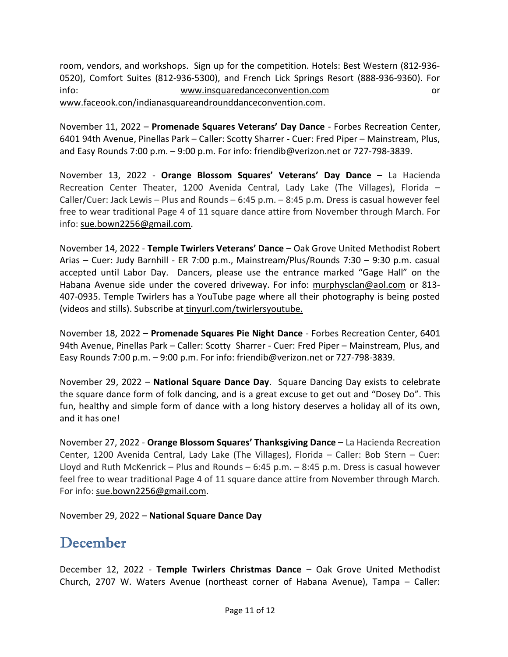room, vendors, and workshops. Sign up for the competition. Hotels: Best Western (812-936- 0520), Comfort Suites (812-936-5300), and French Lick Springs Resort (888-936-9360). For info: www.insquaredanceconvention.com or www.faceook.con/indianasquareandrounddanceconvention.com.

November 11, 2022 – Promenade Squares Veterans' Day Dance - Forbes Recreation Center, 6401 94th Avenue, Pinellas Park – Caller: Scotty Sharrer - Cuer: Fred Piper – Mainstream, Plus, and Easy Rounds 7:00 p.m. – 9:00 p.m. For info: friendib@verizon.net or 727-798-3839.

November 13, 2022 - Orange Blossom Squares' Veterans' Day Dance – La Hacienda Recreation Center Theater, 1200 Avenida Central, Lady Lake (The Villages), Florida – Caller/Cuer: Jack Lewis – Plus and Rounds – 6:45 p.m. – 8:45 p.m. Dress is casual however feel free to wear traditional Page 4 of 11 square dance attire from November through March. For info: sue.bown2256@gmail.com.

November 14, 2022 - Temple Twirlers Veterans' Dance – Oak Grove United Methodist Robert Arias – Cuer: Judy Barnhill - ER 7:00 p.m., Mainstream/Plus/Rounds 7:30 – 9:30 p.m. casual accepted until Labor Day. Dancers, please use the entrance marked "Gage Hall" on the Habana Avenue side under the covered driveway. For info: murphysclan@aol.com or 813- 407-0935. Temple Twirlers has a YouTube page where all their photography is being posted (videos and stills). Subscribe at tinyurl.com/twirlersyoutube.

November 18, 2022 – Promenade Squares Pie Night Dance - Forbes Recreation Center, 6401 94th Avenue, Pinellas Park – Caller: Scotty Sharrer - Cuer: Fred Piper – Mainstream, Plus, and Easy Rounds 7:00 p.m. – 9:00 p.m. For info: friendib@verizon.net or 727-798-3839.

November 29, 2022 – National Square Dance Day. Square Dancing Day exists to celebrate the square dance form of folk dancing, and is a great excuse to get out and "Dosey Do". This fun, healthy and simple form of dance with a long history deserves a holiday all of its own, and it has one!

November 27, 2022 - Orange Blossom Squares' Thanksgiving Dance – La Hacienda Recreation Center, 1200 Avenida Central, Lady Lake (The Villages), Florida – Caller: Bob Stern – Cuer: Lloyd and Ruth McKenrick – Plus and Rounds – 6:45 p.m. – 8:45 p.m. Dress is casual however feel free to wear traditional Page 4 of 11 square dance attire from November through March. For info: sue.bown2256@gmail.com.

November 29, 2022 – National Square Dance Day

#### December

December 12, 2022 - Temple Twirlers Christmas Dance - Oak Grove United Methodist Church, 2707 W. Waters Avenue (northeast corner of Habana Avenue), Tampa – Caller: